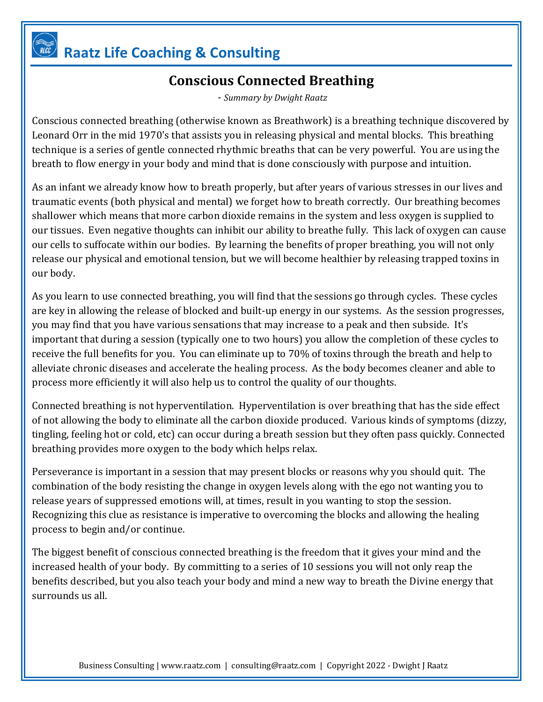## **Raatz Life Coaching & Consulting**

## **Conscious Connected Breathing**

- *Summary by Dwight Raatz*

Conscious connected breathing (otherwise known as Breathwork) is a breathing technique discovered by Leonard Orr in the mid 1970's that assists you in releasing physical and mental blocks. This breathing technique is a series of gentle connected rhythmic breaths that can be very powerful. You are using the breath to flow energy in your body and mind that is done consciously with purpose and intuition.

As an infant we already know how to breath properly, but after years of various stresses in our lives and traumatic events (both physical and mental) we forget how to breath correctly. Our breathing becomes shallower which means that more carbon dioxide remains in the system and less oxygen is supplied to our tissues. Even negative thoughts can inhibit our ability to breathe fully. This lack of oxygen can cause our cells to suffocate within our bodies. By learning the benefits of proper breathing, you will not only release our physical and emotional tension, but we will become healthier by releasing trapped toxins in our body.

As you learn to use connected breathing, you will find that the sessions go through cycles. These cycles are key in allowing the release of blocked and built-up energy in our systems. As the session progresses, you may find that you have various sensations that may increase to a peak and then subside. It's important that during a session (typically one to two hours) you allow the completion of these cycles to receive the full benefits for you. You can eliminate up to 70% of toxins through the breath and help to alleviate chronic diseases and accelerate the healing process. As the body becomes cleaner and able to process more efficiently it will also help us to control the quality of our thoughts.

Connected breathing is not hyperventilation. Hyperventilation is over breathing that has the side effect of not allowing the body to eliminate all the carbon dioxide produced. Various kinds of symptoms (dizzy, tingling, feeling hot or cold, etc) can occur during a breath session but they often pass quickly. Connected breathing provides more oxygen to the body which helps relax.

Perseverance is important in a session that may present blocks or reasons why you should quit. The combination of the body resisting the change in oxygen levels along with the ego not wanting you to release years of suppressed emotions will, at times, result in you wanting to stop the session. Recognizing this clue as resistance is imperative to overcoming the blocks and allowing the healing process to begin and/or continue.

The biggest benefit of conscious connected breathing is the freedom that it gives your mind and the increased health of your body. By committing to a series of 10 sessions you will not only reap the benefits described, but you also teach your body and mind a new way to breath the Divine energy that surrounds us all.